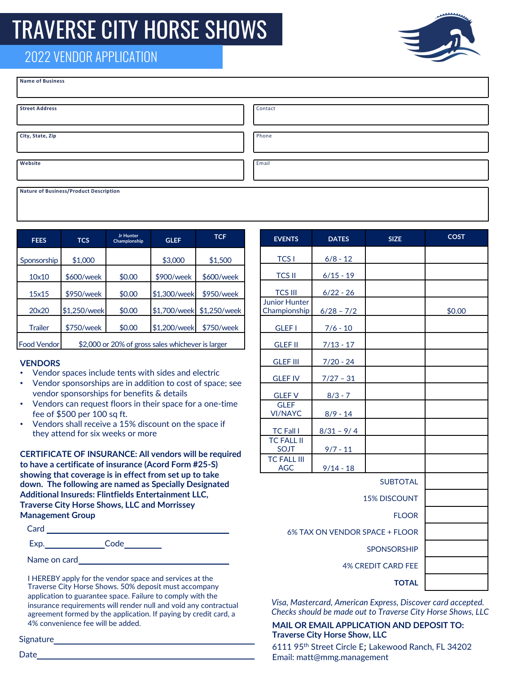# TRAVERSE CITY HORSE SHOWS

## 2022 VENDOR APPLICATION

| <b>Name of Business</b> |         |
|-------------------------|---------|
| <b>Street Address</b>   | Contact |
| City, State, Zip        | Phone   |
| Website                 | Email   |

**Nature of Business/Product Description**

| <b>FEES</b>        | <b>TCS</b>                                        | <b>Jr Hunter</b><br>Championship | <b>GLEF</b>  | <b>TCF</b>   |
|--------------------|---------------------------------------------------|----------------------------------|--------------|--------------|
| Sponsorship        | \$1,000                                           |                                  | \$3,000      | \$1,500      |
| 10×10              | \$600/week                                        | \$0.00                           | \$900/week   | \$600/week   |
| 15x15              | \$950/week                                        | \$0.00                           | \$1,300/week | \$950/week   |
| 20x20              | \$1,250/week                                      | \$0.00                           | \$1,700/week | \$1,250/week |
| <b>Trailer</b>     | \$750/week                                        | \$0.00                           | \$1,200/week | \$750/week   |
| <b>Food Vendor</b> | \$2,000 or 20% of gross sales whichever is larger |                                  |              |              |

### **VENDORS**

- Vendor spaces include tents with sides and electric
- Vendor sponsorships are in addition to cost of space; see vendor sponsorships for benefits & details
- Vendors can request floors in their space for a one-time fee of \$500 per 100 sq ft.
- Vendors shall receive a 15% discount on the space if they attend for six weeks or more

**CERTIFICATE OF INSURANCE: All vendors will be required to have a certificate of insurance (Acord Form #25-S) showing that coverage is in effect from set up to take down. The following are named as Specially Designated Additional Insureds: Flintfields Entertainment LLC, Traverse City Horse Shows, LLC and Morrissey Management Group**

| Card         |      |  |
|--------------|------|--|
| Exp.         | Code |  |
| Name on card |      |  |

I HEREBY apply for the vendor space and services at the Traverse City Horse Shows. 50% deposit must accompany application to guarantee space. Failure to comply with the insurance requirements will render null and void any contractual agreement formed by the application. If paying by credit card, a 4% convenience fee will be added.

Signature

Date\_

| <b>EVENTS</b>                        | <b>DATES</b> | <b>SIZE</b>     | <b>COST</b> |
|--------------------------------------|--------------|-----------------|-------------|
| <b>TCS I</b>                         | $6/8 - 12$   |                 |             |
| <b>TCS II</b>                        | $6/15 - 19$  |                 |             |
| <b>TCS III</b>                       | $6/22 - 26$  |                 |             |
| <b>Junior Hunter</b><br>Championship | $6/28 - 7/2$ |                 | \$0.00      |
| <b>GLEF I</b>                        | $7/6 - 10$   |                 |             |
| <b>GLEF II</b>                       | $7/13 - 17$  |                 |             |
| <b>GLEF III</b>                      | $7/20 - 24$  |                 |             |
| <b>GLEF IV</b>                       | $7/27 - 31$  |                 |             |
| <b>GLEF V</b>                        | $8/3 - 7$    |                 |             |
| <b>GLEF</b><br><b>VI/NAYC</b>        | $8/9 - 14$   |                 |             |
| <b>TC Fall I</b>                     | $8/31 - 9/4$ |                 |             |
| <b>TC FALL II</b><br><b>SOJT</b>     | $9/7 - 11$   |                 |             |
| <b>TC FALL III</b><br><b>AGC</b>     | $9/14 - 18$  |                 |             |
|                                      |              | <b>SUBTOTAL</b> |             |
| <b>15% DISCOUNT</b>                  |              |                 |             |
| <b>FLOOR</b>                         |              |                 |             |
| 6% TAX ON VENDOR SPACE + FLOOR       |              |                 |             |
| <b>SPONSORSHIP</b>                   |              |                 |             |
| <b>4% CREDIT CARD FEE</b>            |              |                 |             |
| <b>TOTAL</b>                         |              |                 |             |

*Visa, Mastercard, American Express, Discover card accepted. Checks should be made out to Traverse City Horse Shows, LLC*

## **MAIL OR EMAIL APPLICATION AND DEPOSIT TO: Traverse City Horse Show, LLC**

6111 95th Street Circle E; Lakewood Ranch, FL 34202 Email: matt@mmg.management